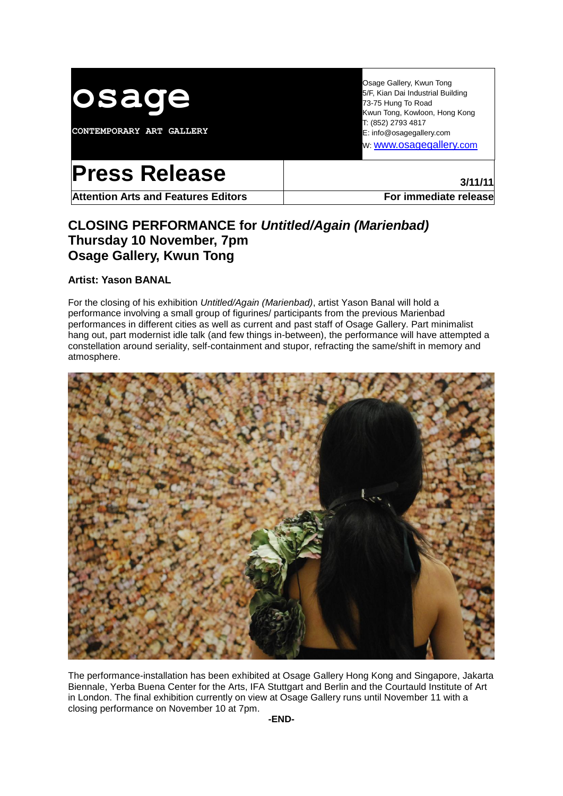

**CONTEMPORARY ART GALLERY**

Osage Gallery, Kwun Tong 5/F, Kian Dai Industrial Building 73-75 Hung To Road Kwun Tong, Kowloon, Hong Kong T: (852) 2793 4817 E: info@osagegallery.com w: [www.osagegallery.](http://www.osagegallery.com/)com

# **Press Release and <b>Press** Release

Attention Arts and Features Editors **For immediate release** 

# **CLOSING PERFORMANCE for** *Untitled/Again (Marienbad)* **Thursday 10 November, 7pm Osage Gallery, Kwun Tong**

## **Artist: Yason BANAL**

For the closing of his exhibition *Untitled/Again (Marienbad)*, artist Yason Banal will hold a performance involving a small group of figurines/ participants from the previous Marienbad performances in different cities as well as current and past staff of Osage Gallery. Part minimalist hang out, part modernist idle talk (and few things in-between), the performance will have attempted a constellation around seriality, self-containment and stupor, refracting the same/shift in memory and atmosphere.



The performance-installation has been exhibited at Osage Gallery Hong Kong and Singapore, Jakarta Biennale, Yerba Buena Center for the Arts, IFA Stuttgart and Berlin and the Courtauld Institute of Art in London. The final exhibition currently on view at Osage Gallery runs until November 11 with a closing performance on November 10 at 7pm.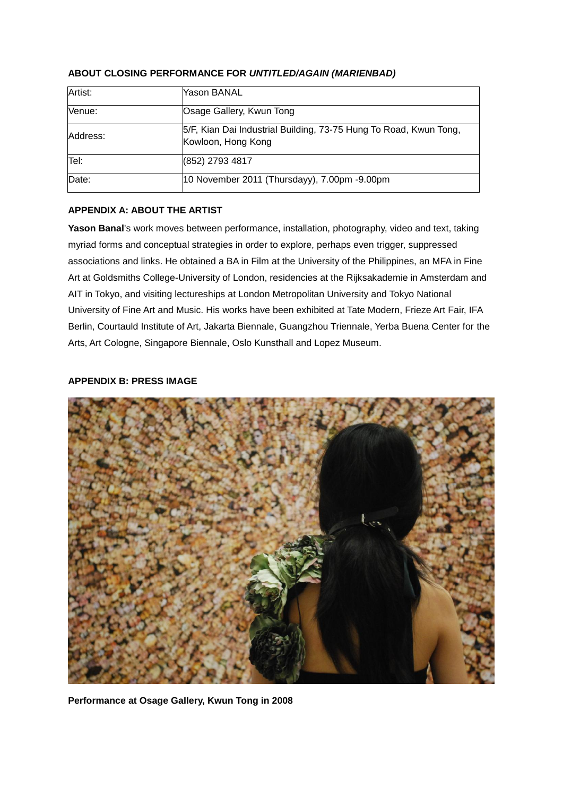| Artist:  | Yason BANAL                                                                             |
|----------|-----------------------------------------------------------------------------------------|
| Venue:   | Osage Gallery, Kwun Tong                                                                |
| Address: | 5/F, Kian Dai Industrial Building, 73-75 Hung To Road, Kwun Tong,<br>Kowloon, Hong Kong |
| Tel:     | (852) 2793 4817                                                                         |
| Date:    | 10 November 2011 (Thursdayy), 7.00pm -9.00pm                                            |

### **ABOUT CLOSING PERFORMANCE FOR** *UNTITLED/AGAIN (MARIENBAD)*

#### **APPENDIX A: ABOUT THE ARTIST**

**Yason Banal**'s work moves between performance, installation, photography, video and text, taking myriad forms and conceptual strategies in order to explore, perhaps even trigger, suppressed associations and links. He obtained a BA in Film at the University of the Philippines, an MFA in Fine Art at Goldsmiths College-University of London, residencies at the Rijksakademie in Amsterdam and AIT in Tokyo, and visiting lectureships at London Metropolitan University and Tokyo National University of Fine Art and Music. His works have been exhibited at Tate Modern, Frieze Art Fair, IFA Berlin, Courtauld Institute of Art, Jakarta Biennale, Guangzhou Triennale, Yerba Buena Center for the Arts, Art Cologne, Singapore Biennale, Oslo Kunsthall and Lopez Museum.

#### **APPENDIX B: PRESS IMAGE**



**Performance at Osage Gallery, Kwun Tong in 2008**